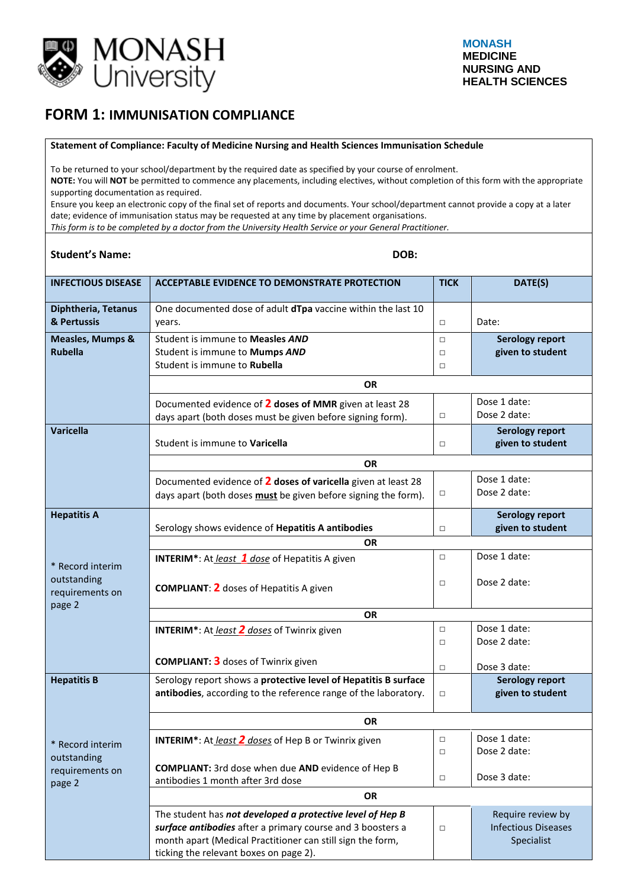

## **FORM 1: IMMUNISATION COMPLIANCE**

## **Statement of Compliance: Faculty of Medicine Nursing and Health Sciences Immunisation Schedule**

To be returned to your school/department by the required date as specified by your course of enrolment.

**NOTE:** You will **NOT** be permitted to commence any placements, including electives, without completion of this form with the appropriate supporting documentation as required.

Ensure you keep an electronic copy of the final set of reports and documents. Your school/department cannot provide a copy at a later date; evidence of immunisation status may be requested at any time by placement organisations.

*This form is to be completed by a doctor from the University Health Service or your General Practitioner.*

ticking the relevant boxes on page 2).

| <b>INFECTIOUS DISEASE</b>                     | ACCEPTABLE EVIDENCE TO DEMONSTRATE PROTECTION                                                                                                                                         |                            | DATE(S)                                                       |  |
|-----------------------------------------------|---------------------------------------------------------------------------------------------------------------------------------------------------------------------------------------|----------------------------|---------------------------------------------------------------|--|
| Diphtheria, Tetanus<br>& Pertussis            | One documented dose of adult dTpa vaccine within the last 10<br>years.                                                                                                                |                            | Date:                                                         |  |
| <b>Measles, Mumps &amp;</b><br><b>Rubella</b> | Student is immune to Measles AND<br>Student is immune to Mumps AND<br>Student is immune to Rubella                                                                                    | $\Box$<br>$\Box$<br>$\Box$ | <b>Serology report</b><br>given to student                    |  |
|                                               | <b>OR</b>                                                                                                                                                                             |                            |                                                               |  |
|                                               | Documented evidence of 2 doses of MMR given at least 28<br>days apart (both doses must be given before signing form).                                                                 | $\Box$                     | Dose 1 date:<br>Dose 2 date:                                  |  |
| <b>Varicella</b>                              | Student is immune to Varicella                                                                                                                                                        | $\Box$                     | <b>Serology report</b><br>given to student                    |  |
|                                               | <b>OR</b>                                                                                                                                                                             |                            |                                                               |  |
|                                               | Documented evidence of 2 doses of varicella given at least 28<br>days apart (both doses must be given before signing the form).                                                       | $\Box$                     | Dose 1 date:<br>Dose 2 date:                                  |  |
| <b>Hepatitis A</b>                            | Serology shows evidence of Hepatitis A antibodies                                                                                                                                     | $\Box$                     | <b>Serology report</b><br>given to student                    |  |
|                                               | <b>OR</b>                                                                                                                                                                             |                            |                                                               |  |
| * Record interim                              | <b>INTERIM*:</b> At least 1 dose of Hepatitis A given                                                                                                                                 | $\Box$                     | Dose 1 date:                                                  |  |
| outstanding<br>requirements on                | <b>COMPLIANT: 2</b> doses of Hepatitis A given                                                                                                                                        | $\Box$                     | Dose 2 date:                                                  |  |
| page 2                                        | <b>OR</b>                                                                                                                                                                             |                            |                                                               |  |
|                                               | <b>INTERIM*:</b> At <i>least 2 doses</i> of Twinrix given                                                                                                                             | $\Box$<br>$\Box$           | Dose 1 date:<br>Dose 2 date:                                  |  |
|                                               | <b>COMPLIANT: 3</b> doses of Twinrix given                                                                                                                                            | $\Box$                     | Dose 3 date:                                                  |  |
| <b>Hepatitis B</b>                            | Serology report shows a protective level of Hepatitis B surface<br>antibodies, according to the reference range of the laboratory.                                                    | $\Box$                     | <b>Serology report</b><br>given to student                    |  |
|                                               | <b>OR</b>                                                                                                                                                                             |                            |                                                               |  |
| Record interim                                | <b>INTERIM*:</b> At least 2 doses of Hep B or Twinrix given                                                                                                                           | $\Box$<br>$\Box$           | Dose 1 date:<br>Dose 2 date:                                  |  |
| outstanding<br>requirements on<br>page 2      | <b>COMPLIANT:</b> 3rd dose when due AND evidence of Hep B<br>antibodies 1 month after 3rd dose                                                                                        | $\Box$                     | Dose 3 date:                                                  |  |
|                                               | OR                                                                                                                                                                                    |                            |                                                               |  |
|                                               | The student has not developed a protective level of Hep B<br>surface antibodies after a primary course and 3 boosters a<br>month apart (Medical Practitioner can still sign the form, | $\Box$                     | Require review by<br><b>Infectious Diseases</b><br>Specialist |  |